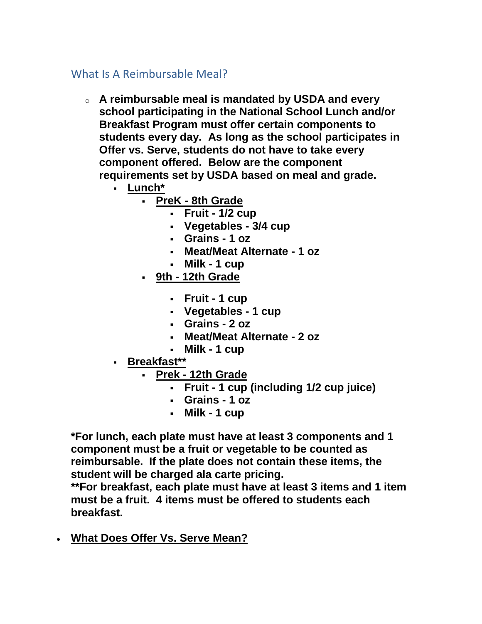## What Is A Reimbursable Meal?

- o **A reimbursable meal is mandated by USDA and every school participating in the National School Lunch and/or Breakfast Program must offer certain components to students every day. As long as the school participates in Offer vs. Serve, students do not have to take every component offered. Below are the component requirements set by USDA based on meal and grade.**
	- **Lunch\***
		- **PreK - 8th Grade**
			- **Fruit - 1/2 cup**
			- **Vegetables - 3/4 cup**
			- **Grains - 1 oz**
			- **Meat/Meat Alternate - 1 oz**
			- **Milk - 1 cup**
		- **9th - 12th Grade**
			- **Fruit - 1 cup**
			- **Vegetables - 1 cup**
			- **Grains - 2 oz**
			- **Meat/Meat Alternate - 2 oz**
			- **Milk - 1 cup**
	- **Breakfast\*\***
		- **Prek - 12th Grade**
			- **Fruit - 1 cup (including 1/2 cup juice)**
			- **Grains - 1 oz**
			- **Milk - 1 cup**

**\*For lunch, each plate must have at least 3 components and 1 component must be a fruit or vegetable to be counted as reimbursable. If the plate does not contain these items, the student will be charged ala carte pricing.**

**\*\*For breakfast, each plate must have at least 3 items and 1 item must be a fruit. 4 items must be offered to students each breakfast.**

• **What Does Offer Vs. Serve Mean?**